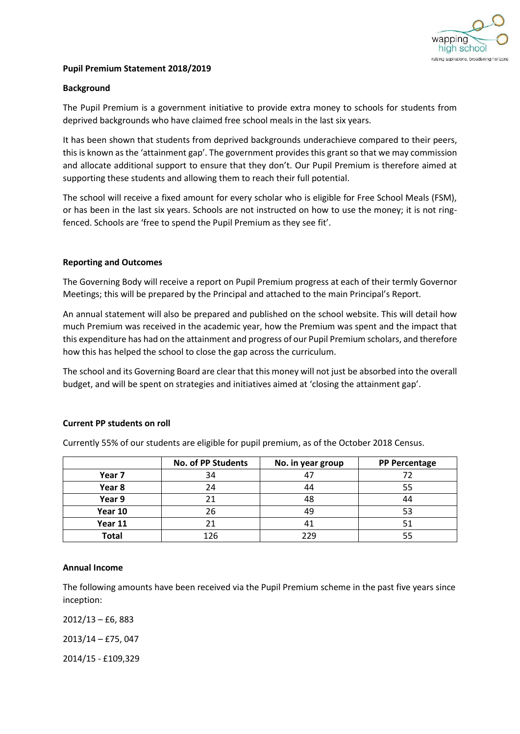

## **Pupil Premium Statement 2018/2019**

## **Background**

The Pupil Premium is a government initiative to provide extra money to schools for students from deprived backgrounds who have claimed free school meals in the last six years.

It has been shown that students from deprived backgrounds underachieve compared to their peers, this is known as the 'attainment gap'. The government provides this grant so that we may commission and allocate additional support to ensure that they don't. Our Pupil Premium is therefore aimed at supporting these students and allowing them to reach their full potential.

The school will receive a fixed amount for every scholar who is eligible for Free School Meals (FSM), or has been in the last six years. Schools are not instructed on how to use the money; it is not ringfenced. Schools are 'free to spend the Pupil Premium as they see fit'.

## **Reporting and Outcomes**

The Governing Body will receive a report on Pupil Premium progress at each of their termly Governor Meetings; this will be prepared by the Principal and attached to the main Principal's Report.

An annual statement will also be prepared and published on the school website. This will detail how much Premium was received in the academic year, how the Premium was spent and the impact that this expenditure has had on the attainment and progress of our Pupil Premium scholars, and therefore how this has helped the school to close the gap across the curriculum.

The school and its Governing Board are clear that this money will not just be absorbed into the overall budget, and will be spent on strategies and initiatives aimed at 'closing the attainment gap'.

#### **Current PP students on roll**

|              | <b>No. of PP Students</b> | No. in year group | <b>PP Percentage</b> |
|--------------|---------------------------|-------------------|----------------------|
| Year 7       | 34                        | 4.                |                      |
| Year 8       | 24                        | 44                | 55                   |
| Year 9       | 21                        | 48                |                      |
| Year 10      | 26                        | 49                |                      |
| Year 11      | 21                        |                   |                      |
| <b>Total</b> | 126                       | 229               |                      |

Currently 55% of our students are eligible for pupil premium, as of the October 2018 Census.

## **Annual Income**

The following amounts have been received via the Pupil Premium scheme in the past five years since inception:

2012/13 – £6, 883

2013/14 – £75, 047

2014/15 - £109,329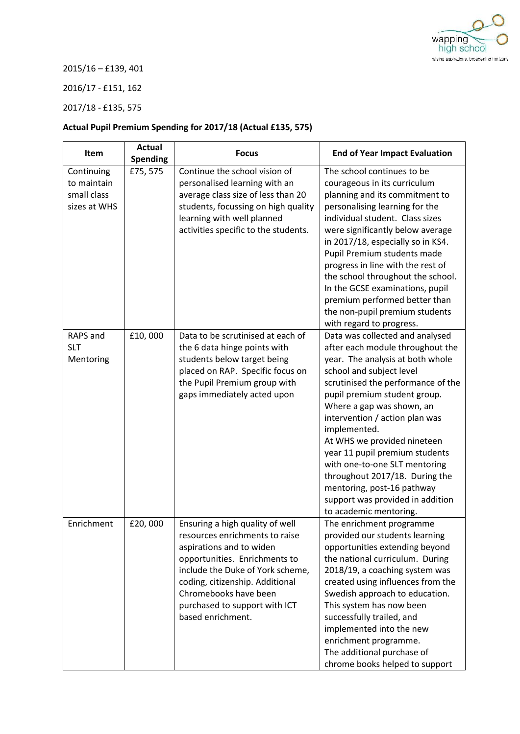

2015/16 – £139, 401

2016/17 - £151, 162

2017/18 - £135, 575

## **Actual Pupil Premium Spending for 2017/18 (Actual £135, 575)**

| Item                                                     | <b>Actual</b><br><b>Spending</b> | <b>Focus</b>                                                                                                                                                                                                                                                                         | <b>End of Year Impact Evaluation</b>                                                                                                                                                                                                                                                                                                                                                                                                                                                                                     |
|----------------------------------------------------------|----------------------------------|--------------------------------------------------------------------------------------------------------------------------------------------------------------------------------------------------------------------------------------------------------------------------------------|--------------------------------------------------------------------------------------------------------------------------------------------------------------------------------------------------------------------------------------------------------------------------------------------------------------------------------------------------------------------------------------------------------------------------------------------------------------------------------------------------------------------------|
| Continuing<br>to maintain<br>small class<br>sizes at WHS | £75,575                          | Continue the school vision of<br>personalised learning with an<br>average class size of less than 20<br>students, focussing on high quality<br>learning with well planned<br>activities specific to the students.                                                                    | The school continues to be<br>courageous in its curriculum<br>planning and its commitment to<br>personalising learning for the<br>individual student. Class sizes<br>were significantly below average<br>in 2017/18, especially so in KS4.<br>Pupil Premium students made<br>progress in line with the rest of<br>the school throughout the school.<br>In the GCSE examinations, pupil<br>premium performed better than<br>the non-pupil premium students<br>with regard to progress.                                    |
| RAPS and<br><b>SLT</b><br>Mentoring                      | £10,000                          | Data to be scrutinised at each of<br>the 6 data hinge points with<br>students below target being<br>placed on RAP. Specific focus on<br>the Pupil Premium group with<br>gaps immediately acted upon                                                                                  | Data was collected and analysed<br>after each module throughout the<br>year. The analysis at both whole<br>school and subject level<br>scrutinised the performance of the<br>pupil premium student group.<br>Where a gap was shown, an<br>intervention / action plan was<br>implemented.<br>At WHS we provided nineteen<br>year 11 pupil premium students<br>with one-to-one SLT mentoring<br>throughout 2017/18. During the<br>mentoring, post-16 pathway<br>support was provided in addition<br>to academic mentoring. |
| Enrichment                                               | £20,000                          | Ensuring a high quality of well<br>resources enrichments to raise<br>aspirations and to widen<br>opportunities. Enrichments to<br>include the Duke of York scheme,<br>coding, citizenship. Additional<br>Chromebooks have been<br>purchased to support with ICT<br>based enrichment. | The enrichment programme<br>provided our students learning<br>opportunities extending beyond<br>the national curriculum. During<br>2018/19, a coaching system was<br>created using influences from the<br>Swedish approach to education.<br>This system has now been<br>successfully trailed, and<br>implemented into the new<br>enrichment programme.<br>The additional purchase of<br>chrome books helped to support                                                                                                   |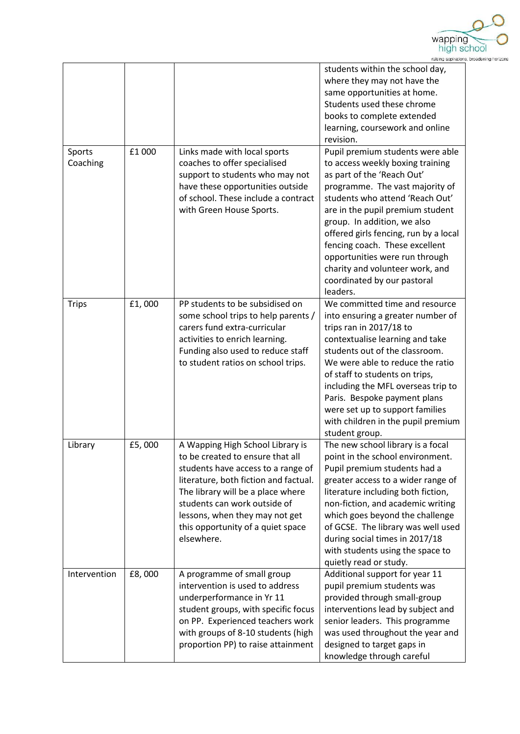

|                    |        |                                                                                                                                                                                                                                                                                                               | students within the school day,<br>where they may not have the<br>same opportunities at home.<br>Students used these chrome<br>books to complete extended<br>learning, coursework and online<br>revision.                                                                                                                                                                                                                              |
|--------------------|--------|---------------------------------------------------------------------------------------------------------------------------------------------------------------------------------------------------------------------------------------------------------------------------------------------------------------|----------------------------------------------------------------------------------------------------------------------------------------------------------------------------------------------------------------------------------------------------------------------------------------------------------------------------------------------------------------------------------------------------------------------------------------|
| Sports<br>Coaching | £1000  | Links made with local sports<br>coaches to offer specialised<br>support to students who may not<br>have these opportunities outside<br>of school. These include a contract<br>with Green House Sports.                                                                                                        | Pupil premium students were able<br>to access weekly boxing training<br>as part of the 'Reach Out'<br>programme. The vast majority of<br>students who attend 'Reach Out'<br>are in the pupil premium student<br>group. In addition, we also<br>offered girls fencing, run by a local<br>fencing coach. These excellent<br>opportunities were run through<br>charity and volunteer work, and<br>coordinated by our pastoral<br>leaders. |
| <b>Trips</b>       | £1,000 | PP students to be subsidised on<br>some school trips to help parents /<br>carers fund extra-curricular<br>activities to enrich learning.<br>Funding also used to reduce staff<br>to student ratios on school trips.                                                                                           | We committed time and resource<br>into ensuring a greater number of<br>trips ran in 2017/18 to<br>contextualise learning and take<br>students out of the classroom.<br>We were able to reduce the ratio<br>of staff to students on trips,<br>including the MFL overseas trip to<br>Paris. Bespoke payment plans<br>were set up to support families<br>with children in the pupil premium<br>student group.                             |
| Library            | £5,000 | A Wapping High School Library is<br>to be created to ensure that all<br>students have access to a range of<br>literature, both fiction and factual.<br>The library will be a place where<br>students can work outside of<br>lessons, when they may not get<br>this opportunity of a quiet space<br>elsewhere. | The new school library is a focal<br>point in the school environment.<br>Pupil premium students had a<br>greater access to a wider range of<br>literature including both fiction,<br>non-fiction, and academic writing<br>which goes beyond the challenge<br>of GCSE. The library was well used<br>during social times in 2017/18<br>with students using the space to<br>quietly read or study.                                        |
| Intervention       | £8,000 | A programme of small group<br>intervention is used to address<br>underperformance in Yr 11<br>student groups, with specific focus<br>on PP. Experienced teachers work<br>with groups of 8-10 students (high<br>proportion PP) to raise attainment                                                             | Additional support for year 11<br>pupil premium students was<br>provided through small-group<br>interventions lead by subject and<br>senior leaders. This programme<br>was used throughout the year and<br>designed to target gaps in<br>knowledge through careful                                                                                                                                                                     |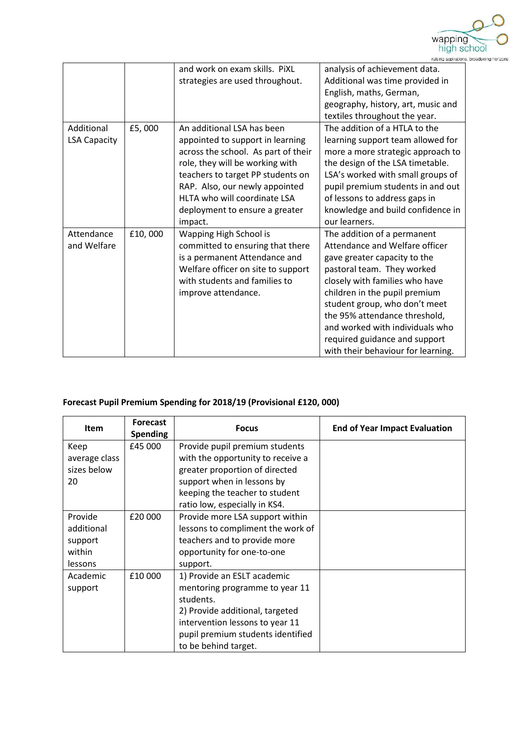

|                     |         | and work on exam skills. PiXL       | analysis of achievement data.      |
|---------------------|---------|-------------------------------------|------------------------------------|
|                     |         | strategies are used throughout.     | Additional was time provided in    |
|                     |         |                                     | English, maths, German,            |
|                     |         |                                     | geography, history, art, music and |
|                     |         |                                     | textiles throughout the year.      |
| Additional          | £5,000  | An additional LSA has been          | The addition of a HTLA to the      |
| <b>LSA Capacity</b> |         | appointed to support in learning    | learning support team allowed for  |
|                     |         | across the school. As part of their | more a more strategic approach to  |
|                     |         | role, they will be working with     | the design of the LSA timetable.   |
|                     |         | teachers to target PP students on   | LSA's worked with small groups of  |
|                     |         | RAP. Also, our newly appointed      | pupil premium students in and out  |
|                     |         | HLTA who will coordinate LSA        | of lessons to address gaps in      |
|                     |         | deployment to ensure a greater      | knowledge and build confidence in  |
|                     |         | impact.                             | our learners.                      |
| Attendance          | £10,000 | Wapping High School is              | The addition of a permanent        |
| and Welfare         |         | committed to ensuring that there    | Attendance and Welfare officer     |
|                     |         | is a permanent Attendance and       | gave greater capacity to the       |
|                     |         | Welfare officer on site to support  | pastoral team. They worked         |
|                     |         | with students and families to       | closely with families who have     |
|                     |         | improve attendance.                 | children in the pupil premium      |
|                     |         |                                     | student group, who don't meet      |
|                     |         |                                     | the 95% attendance threshold,      |
|                     |         |                                     | and worked with individuals who    |
|                     |         |                                     | required guidance and support      |
|                     |         |                                     | with their behaviour for learning. |

# **Forecast Pupil Premium Spending for 2018/19 (Provisional £120, 000)**

| <b>Item</b>   | <b>Forecast</b> | <b>Focus</b>                      | <b>End of Year Impact Evaluation</b> |
|---------------|-----------------|-----------------------------------|--------------------------------------|
|               | <b>Spending</b> |                                   |                                      |
| Keep          | £45 000         | Provide pupil premium students    |                                      |
| average class |                 | with the opportunity to receive a |                                      |
| sizes below   |                 | greater proportion of directed    |                                      |
| 20            |                 | support when in lessons by        |                                      |
|               |                 | keeping the teacher to student    |                                      |
|               |                 | ratio low, especially in KS4.     |                                      |
| Provide       | £20 000         | Provide more LSA support within   |                                      |
| additional    |                 | lessons to compliment the work of |                                      |
| support       |                 | teachers and to provide more      |                                      |
| within        |                 | opportunity for one-to-one        |                                      |
| lessons       |                 | support.                          |                                      |
| Academic      | £10 000         | 1) Provide an ESLT academic       |                                      |
| support       |                 | mentoring programme to year 11    |                                      |
|               |                 | students.                         |                                      |
|               |                 | 2) Provide additional, targeted   |                                      |
|               |                 | intervention lessons to year 11   |                                      |
|               |                 | pupil premium students identified |                                      |
|               |                 | to be behind target.              |                                      |